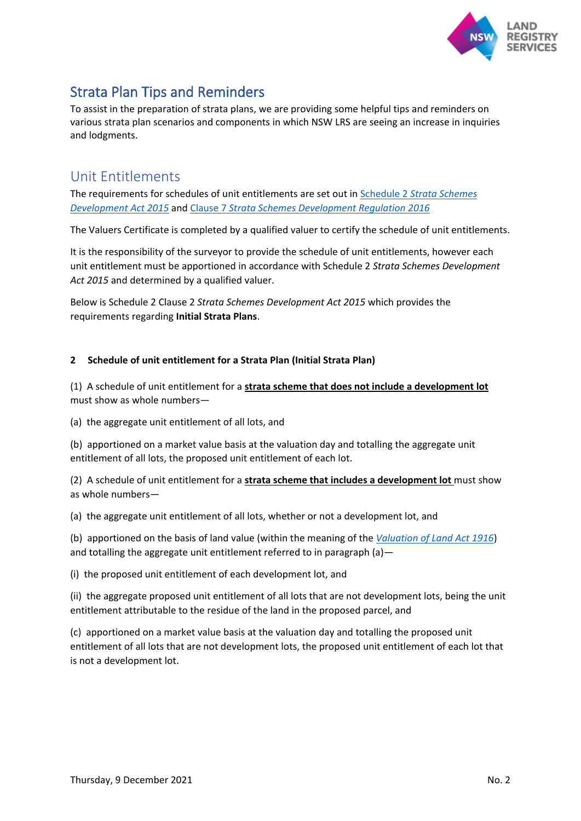

# Strata Plan Tips and Reminders

To assist in the preparation of strata plans, we are providing some helpful tips and reminders on various strata plan scenarios and components in which NSW LRS are seeing an increase in inquiries and lodgments.

# Unit Entitlements

The requirements for schedules of unit entitlements are set out in Schedule 2 *[Strata Schemes](https://legislation.nsw.gov.au/view/html/inforce/current/act-2015-051#sch.2)  [Development Act 2015](https://legislation.nsw.gov.au/view/html/inforce/current/act-2015-051#sch.2)* and Clause 7 *[Strata Schemes Development Regulation 2016](https://legislation.nsw.gov.au/view/html/inforce/current/sl-2016-0659#sec.7)*

The Valuers Certificate is completed by a qualified valuer to certify the schedule of unit entitlements.

It is the responsibility of the surveyor to provide the schedule of unit entitlements, however each unit entitlement must be apportioned in accordance with Schedule 2 *Strata Schemes Development Act 2015* and determined by a qualified valuer.

Below is Schedule 2 Clause 2 *Strata Schemes Development Act 2015* which provides the requirements regarding **Initial Strata Plans**.

#### **2 Schedule of unit entitlement for a Strata Plan (Initial Strata Plan)**

(1) A schedule of unit entitlement for a **strata scheme that does not include a development lot** must show as whole numbers—

(a) the aggregate unit entitlement of all lots, and

(b) apportioned on a market value basis at the valuation day and totalling the aggregate unit entitlement of all lots, the proposed unit entitlement of each lot.

(2) A schedule of unit entitlement for a **strata scheme that includes a development lot** must show as whole numbers—

(a) the aggregate unit entitlement of all lots, whether or not a development lot, and

(b) apportioned on the basis of land value (within the meaning of the *[Valuation of Land Act 1916](https://legislation.nsw.gov.au/view/html/inforce/current/act-1916-002)*) and totalling the aggregate unit entitlement referred to in paragraph  $(a)$  -

(i) the proposed unit entitlement of each development lot, and

(ii) the aggregate proposed unit entitlement of all lots that are not development lots, being the unit entitlement attributable to the residue of the land in the proposed parcel, and

(c) apportioned on a market value basis at the valuation day and totalling the proposed unit entitlement of all lots that are not development lots, the proposed unit entitlement of each lot that is not a development lot.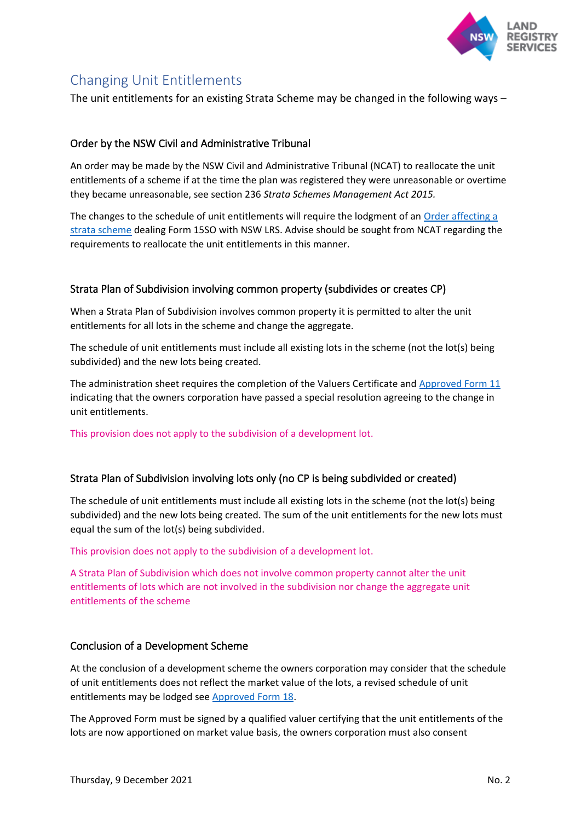

# Changing Unit Entitlements

The unit entitlements for an existing Strata Scheme may be changed in the following ways –

## Order by the NSW Civil and Administrative Tribunal

An order may be made by the NSW Civil and Administrative Tribunal (NCAT) to reallocate the unit entitlements of a scheme if at the time the plan was registered they were unreasonable or overtime they became unreasonable, see section 236 *Strata Schemes Management Act 2015.* 

The changes to the schedule of unit entitlements will require the lodgment of an [Order affecting a](https://rg-guidelines.nswlrs.com.au/land_dealings/dealing_requirements/strata_title_schemes/orderbystrataschemesboard15so)  [strata scheme](https://rg-guidelines.nswlrs.com.au/land_dealings/dealing_requirements/strata_title_schemes/orderbystrataschemesboard15so) dealing Form 15SO with NSW LRS. Advise should be sought from NCAT regarding the requirements to reallocate the unit entitlements in this manner.

## Strata Plan of Subdivision involving common property (subdivides or creates CP)

When a Strata Plan of Subdivision involves common property it is permitted to alter the unit entitlements for all lots in the scheme and change the aggregate.

The schedule of unit entitlements must include all existing lots in the scheme (not the lot(s) being subdivided) and the new lots being created.

The administration sheet requires the completion of the Valuers Certificate an[d Approved Form 11](http://rgdirections.lpi.nsw.gov.au/strata_schemes/approved_forms/approved_form_11) indicating that the owners corporation have passed a special resolution agreeing to the change in unit entitlements.

This provision does not apply to the subdivision of a development lot.

#### Strata Plan of Subdivision involving lots only (no CP is being subdivided or created)

The schedule of unit entitlements must include all existing lots in the scheme (not the lot(s) being subdivided) and the new lots being created. The sum of the unit entitlements for the new lots must equal the sum of the lot(s) being subdivided.

This provision does not apply to the subdivision of a development lot.

A Strata Plan of Subdivision which does not involve common property cannot alter the unit entitlements of lots which are not involved in the subdivision nor change the aggregate unit entitlements of the scheme

#### Conclusion of a Development Scheme

At the conclusion of a development scheme the owners corporation may consider that the schedule of unit entitlements does not reflect the market value of the lots, a revised schedule of unit entitlements may be lodged se[e Approved Form 18.](https://www.nswlrs.com.au/getattachment/562a02f2-2d91-490f-9be1-8b65bf8d8b32/attachment.aspx)

The Approved Form must be signed by a qualified valuer certifying that the unit entitlements of the lots are now apportioned on market value basis, the owners corporation must also consent